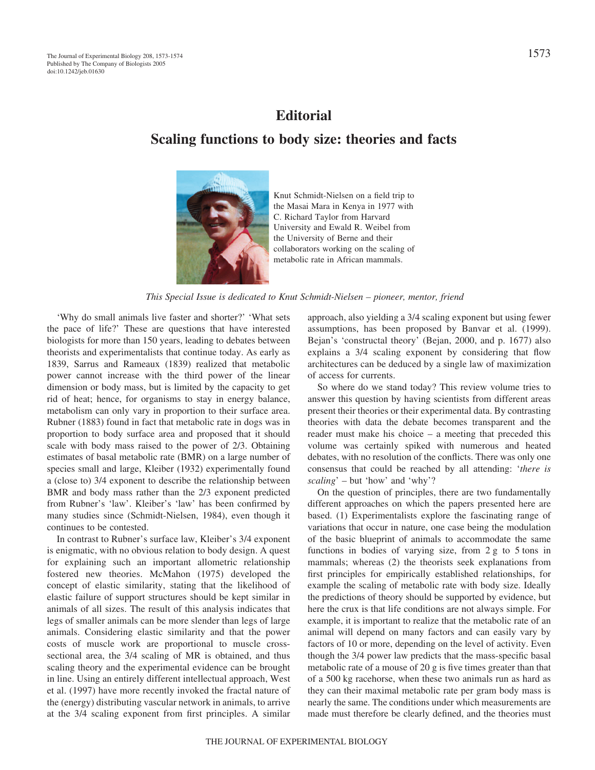## **Editorial**

## **Scaling functions to body size: theories and facts**



Knut Schmidt-Nielsen on a field trip to the Masai Mara in Kenya in 1977 with C. Richard Taylor from Harvard University and Ewald R. Weibel from the University of Berne and their collaborators working on the scaling of metabolic rate in African mammals.

*This Special Issue is dedicated to Knut Schmidt-Nielsen – pioneer, mentor, friend*

'Why do small animals live faster and shorter?' 'What sets the pace of life?' These are questions that have interested biologists for more than 150 years, leading to debates between theorists and experimentalists that continue today. As early as 1839, Sarrus and Rameaux (1839) realized that metabolic power cannot increase with the third power of the linear dimension or body mass, but is limited by the capacity to get rid of heat; hence, for organisms to stay in energy balance, metabolism can only vary in proportion to their surface area. Rubner (1883) found in fact that metabolic rate in dogs was in proportion to body surface area and proposed that it should scale with body mass raised to the power of 2/3. Obtaining estimates of basal metabolic rate (BMR) on a large number of species small and large, Kleiber (1932) experimentally found a (close to) 3/4 exponent to describe the relationship between BMR and body mass rather than the 2/3 exponent predicted from Rubner's 'law'. Kleiber's 'law' has been confirmed by many studies since (Schmidt-Nielsen, 1984), even though it continues to be contested.

In contrast to Rubner's surface law, Kleiber's 3/4 exponent is enigmatic, with no obvious relation to body design. A quest for explaining such an important allometric relationship fostered new theories. McMahon (1975) developed the concept of elastic similarity, stating that the likelihood of elastic failure of support structures should be kept similar in animals of all sizes. The result of this analysis indicates that legs of smaller animals can be more slender than legs of large animals. Considering elastic similarity and that the power costs of muscle work are proportional to muscle crosssectional area, the 3/4 scaling of MR is obtained, and thus scaling theory and the experimental evidence can be brought in line. Using an entirely different intellectual approach, West et al. (1997) have more recently invoked the fractal nature of the (energy) distributing vascular network in animals, to arrive at the 3/4 scaling exponent from first principles. A similar

approach, also yielding a 3/4 scaling exponent but using fewer assumptions, has been proposed by Banvar et al. (1999). Bejan's 'constructal theory' (Bejan, 2000, and p. 1677) also explains a 3/4 scaling exponent by considering that flow architectures can be deduced by a single law of maximization of access for currents.

So where do we stand today? This review volume tries to answer this question by having scientists from different areas present their theories or their experimental data. By contrasting theories with data the debate becomes transparent and the reader must make his choice – a meeting that preceded this volume was certainly spiked with numerous and heated debates, with no resolution of the conflicts. There was only one consensus that could be reached by all attending: '*there is scaling*' – but 'how' and 'why'?

On the question of principles, there are two fundamentally different approaches on which the papers presented here are based. (1) Experimentalists explore the fascinating range of variations that occur in nature, one case being the modulation of the basic blueprint of animals to accommodate the same functions in bodies of varying size, from  $2g$  to 5 tons in mammals; whereas (2) the theorists seek explanations from first principles for empirically established relationships, for example the scaling of metabolic rate with body size. Ideally the predictions of theory should be supported by evidence, but here the crux is that life conditions are not always simple. For example, it is important to realize that the metabolic rate of an animal will depend on many factors and can easily vary by factors of 10 or more, depending on the level of activity. Even though the 3/4 power law predicts that the mass-specific basal metabolic rate of a mouse of 20  $g$  is five times greater than that of a 500 kg racehorse, when these two animals run as hard as they can their maximal metabolic rate per gram body mass is nearly the same. The conditions under which measurements are made must therefore be clearly defined, and the theories must